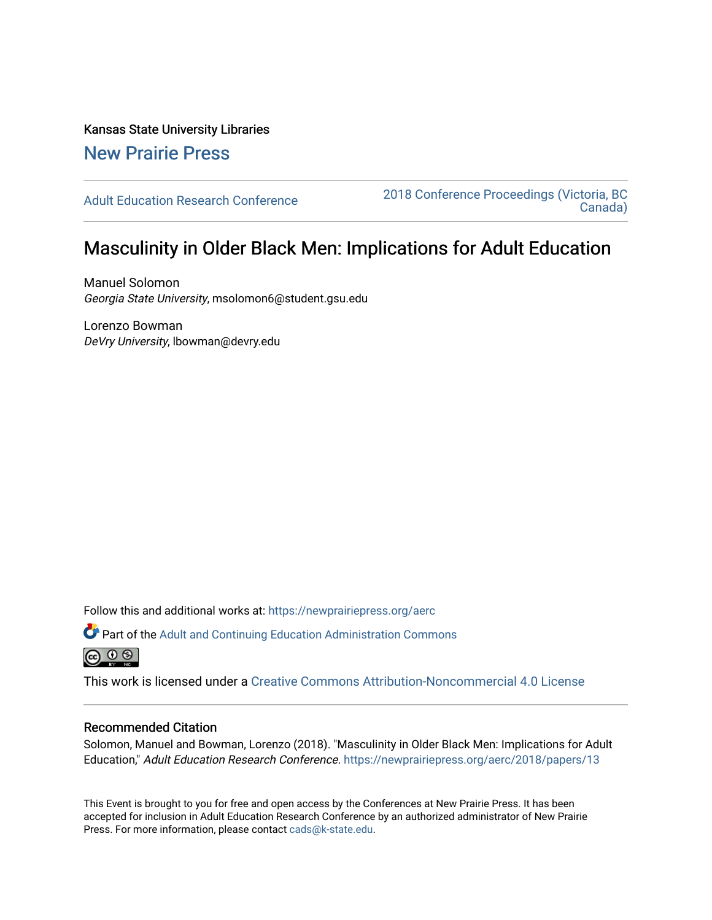Kansas State University Libraries [New Prairie Press](https://newprairiepress.org/) 

[Adult Education Research Conference](https://newprairiepress.org/aerc) [2018 Conference Proceedings \(Victoria, BC](https://newprairiepress.org/aerc/2018)  [Canada\)](https://newprairiepress.org/aerc/2018) 

# Masculinity in Older Black Men: Implications for Adult Education

Manuel Solomon Georgia State University, msolomon6@student.gsu.edu

Lorenzo Bowman DeVry University, lbowman@devry.edu

Follow this and additional works at: [https://newprairiepress.org/aerc](https://newprairiepress.org/aerc?utm_source=newprairiepress.org%2Faerc%2F2018%2Fpapers%2F13&utm_medium=PDF&utm_campaign=PDFCoverPages)

Part of the [Adult and Continuing Education Administration Commons](http://network.bepress.com/hgg/discipline/789?utm_source=newprairiepress.org%2Faerc%2F2018%2Fpapers%2F13&utm_medium=PDF&utm_campaign=PDFCoverPages) <u>ெ ெ ⊜</u>

This work is licensed under a [Creative Commons Attribution-Noncommercial 4.0 License](https://creativecommons.org/licenses/by-nc/4.0/)

### Recommended Citation

Solomon, Manuel and Bowman, Lorenzo (2018). "Masculinity in Older Black Men: Implications for Adult Education," Adult Education Research Conference. <https://newprairiepress.org/aerc/2018/papers/13>

This Event is brought to you for free and open access by the Conferences at New Prairie Press. It has been accepted for inclusion in Adult Education Research Conference by an authorized administrator of New Prairie Press. For more information, please contact [cads@k-state.edu.](mailto:cads@k-state.edu)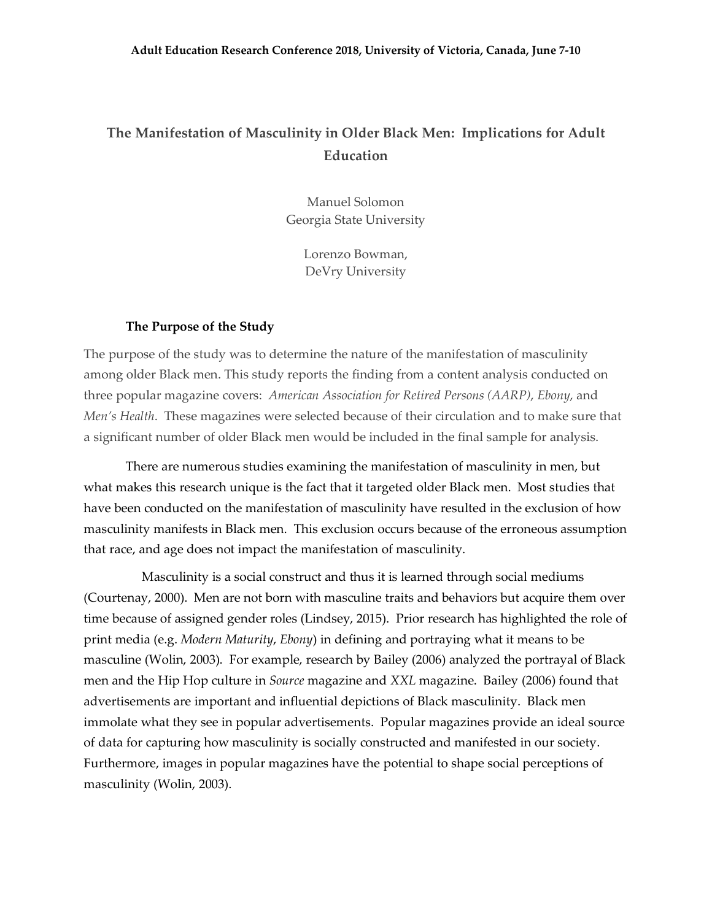# **The Manifestation of Masculinity in Older Black Men: Implications for Adult Education**

Manuel Solomon Georgia State University

> Lorenzo Bowman, DeVry University

# **The Purpose of the Study**

The purpose of the study was to determine the nature of the manifestation of masculinity among older Black men. This study reports the finding from a content analysis conducted on three popular magazine covers: *American Association for Retired Persons (AARP)*, *Ebony*, and *Men's Health*. These magazines were selected because of their circulation and to make sure that a significant number of older Black men would be included in the final sample for analysis.

There are numerous studies examining the manifestation of masculinity in men, but what makes this research unique is the fact that it targeted older Black men. Most studies that have been conducted on the manifestation of masculinity have resulted in the exclusion of how masculinity manifests in Black men. This exclusion occurs because of the erroneous assumption that race, and age does not impact the manifestation of masculinity.

 Masculinity is a social construct and thus it is learned through social mediums (Courtenay, 2000). Men are not born with masculine traits and behaviors but acquire them over time because of assigned gender roles (Lindsey, 2015). Prior research has highlighted the role of print media (e.g. *Modern Maturity*, *Ebony*) in defining and portraying what it means to be masculine (Wolin, 2003). For example, research by Bailey (2006) analyzed the portrayal of Black men and the Hip Hop culture in *Source* magazine and *XXL* magazine. Bailey (2006) found that advertisements are important and influential depictions of Black masculinity. Black men immolate what they see in popular advertisements. Popular magazines provide an ideal source of data for capturing how masculinity is socially constructed and manifested in our society. Furthermore, images in popular magazines have the potential to shape social perceptions of masculinity (Wolin, 2003).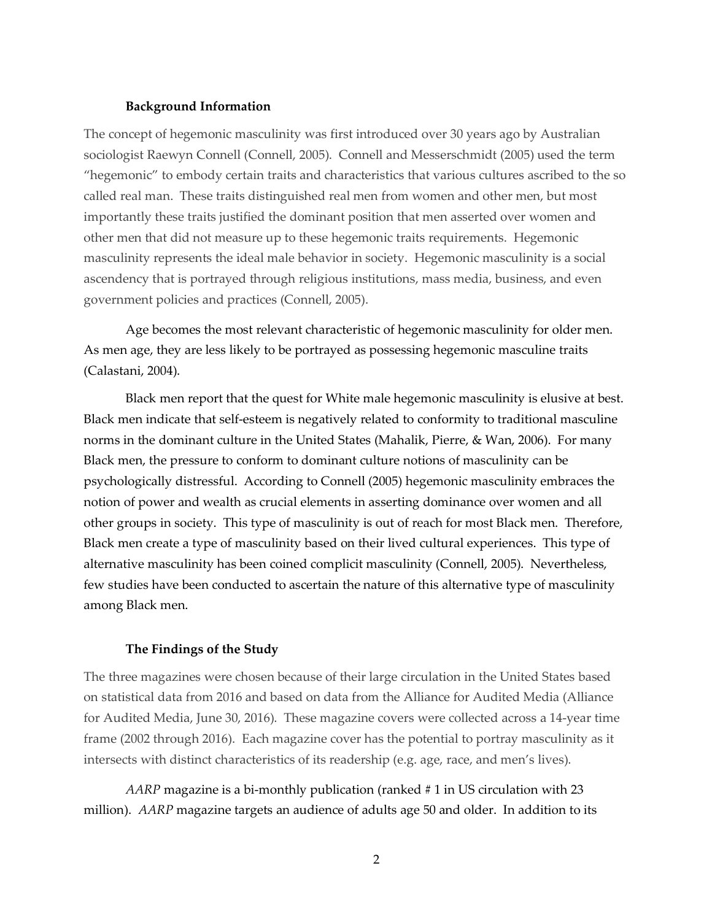#### **Background Information**

The concept of hegemonic masculinity was first introduced over 30 years ago by Australian sociologist Raewyn Connell (Connell, 2005). Connell and Messerschmidt (2005) used the term "hegemonic" to embody certain traits and characteristics that various cultures ascribed to the so called real man. These traits distinguished real men from women and other men, but most importantly these traits justified the dominant position that men asserted over women and other men that did not measure up to these hegemonic traits requirements. Hegemonic masculinity represents the ideal male behavior in society. Hegemonic masculinity is a social ascendency that is portrayed through religious institutions, mass media, business, and even government policies and practices (Connell, 2005).

Age becomes the most relevant characteristic of hegemonic masculinity for older men. As men age, they are less likely to be portrayed as possessing hegemonic masculine traits (Calastani, 2004).

Black men report that the quest for White male hegemonic masculinity is elusive at best. Black men indicate that self-esteem is negatively related to conformity to traditional masculine norms in the dominant culture in the United States (Mahalik, Pierre, & Wan, 2006). For many Black men, the pressure to conform to dominant culture notions of masculinity can be psychologically distressful. According to Connell (2005) hegemonic masculinity embraces the notion of power and wealth as crucial elements in asserting dominance over women and all other groups in society. This type of masculinity is out of reach for most Black men. Therefore, Black men create a type of masculinity based on their lived cultural experiences. This type of alternative masculinity has been coined complicit masculinity (Connell, 2005). Nevertheless, few studies have been conducted to ascertain the nature of this alternative type of masculinity among Black men.

# **The Findings of the Study**

The three magazines were chosen because of their large circulation in the United States based on statistical data from 2016 and based on data from the Alliance for Audited Media (Alliance for Audited Media, June 30, 2016). These magazine covers were collected across a 14-year time frame (2002 through 2016). Each magazine cover has the potential to portray masculinity as it intersects with distinct characteristics of its readership (e.g. age, race, and men's lives).

*AARP* magazine is a bi-monthly publication (ranked # 1 in US circulation with 23 million). *AARP* magazine targets an audience of adults age 50 and older. In addition to its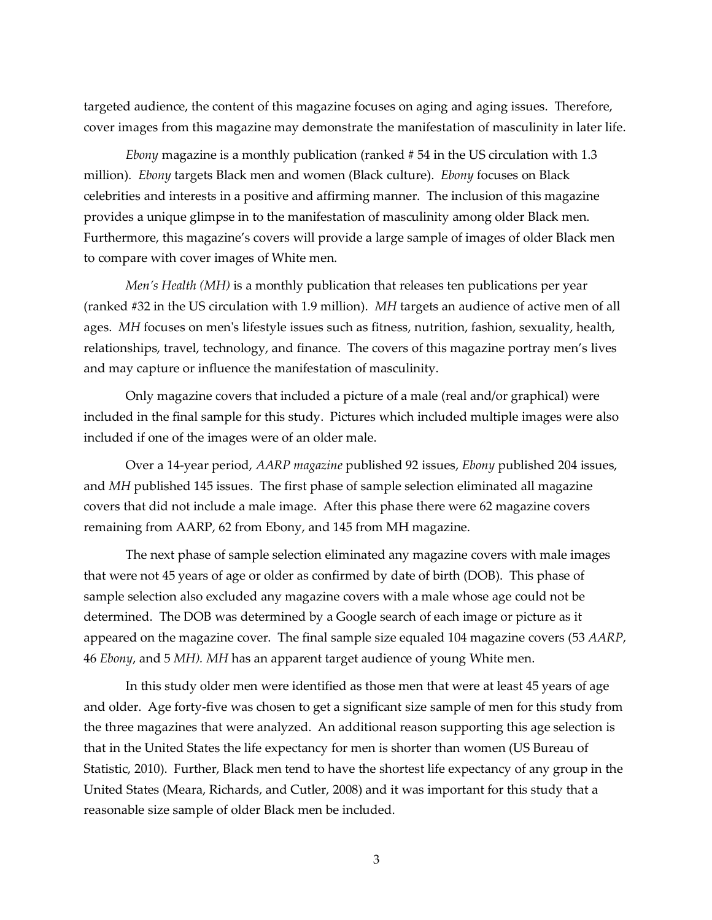targeted audience, the content of this magazine focuses on aging and aging issues. Therefore, cover images from this magazine may demonstrate the manifestation of masculinity in later life.

*Ebony* magazine is a monthly publication (ranked # 54 in the US circulation with 1.3 million). *Ebony* targets Black men and women (Black culture). *Ebony* focuses on Black celebrities and interests in a positive and affirming manner. The inclusion of this magazine provides a unique glimpse in to the manifestation of masculinity among older Black men. Furthermore, this magazine's covers will provide a large sample of images of older Black men to compare with cover images of White men.

*Men's Health (MH)* is a monthly publication that releases ten publications per year (ranked #32 in the US circulation with 1.9 million). *MH* targets an audience of active men of all ages. *MH* focuses on men's lifestyle issues such as fitness, nutrition, fashion, sexuality, health, relationships, travel, technology, and finance. The covers of this magazine portray men's lives and may capture or influence the manifestation of masculinity.

Only magazine covers that included a picture of a male (real and/or graphical) were included in the final sample for this study. Pictures which included multiple images were also included if one of the images were of an older male.

Over a 14-year period, *AARP magazine* published 92 issues, *Ebony* published 204 issues, and *MH* published 145 issues. The first phase of sample selection eliminated all magazine covers that did not include a male image. After this phase there were 62 magazine covers remaining from AARP, 62 from Ebony, and 145 from MH magazine.

The next phase of sample selection eliminated any magazine covers with male images that were not 45 years of age or older as confirmed by date of birth (DOB). This phase of sample selection also excluded any magazine covers with a male whose age could not be determined. The DOB was determined by a Google search of each image or picture as it appeared on the magazine cover. The final sample size equaled 104 magazine covers (53 *AARP*, 46 *Ebony*, and 5 *MH). MH* has an apparent target audience of young White men.

In this study older men were identified as those men that were at least 45 years of age and older. Age forty-five was chosen to get a significant size sample of men for this study from the three magazines that were analyzed. An additional reason supporting this age selection is that in the United States the life expectancy for men is shorter than women (US Bureau of Statistic, 2010). Further, Black men tend to have the shortest life expectancy of any group in the United States (Meara, Richards, and Cutler, 2008) and it was important for this study that a reasonable size sample of older Black men be included.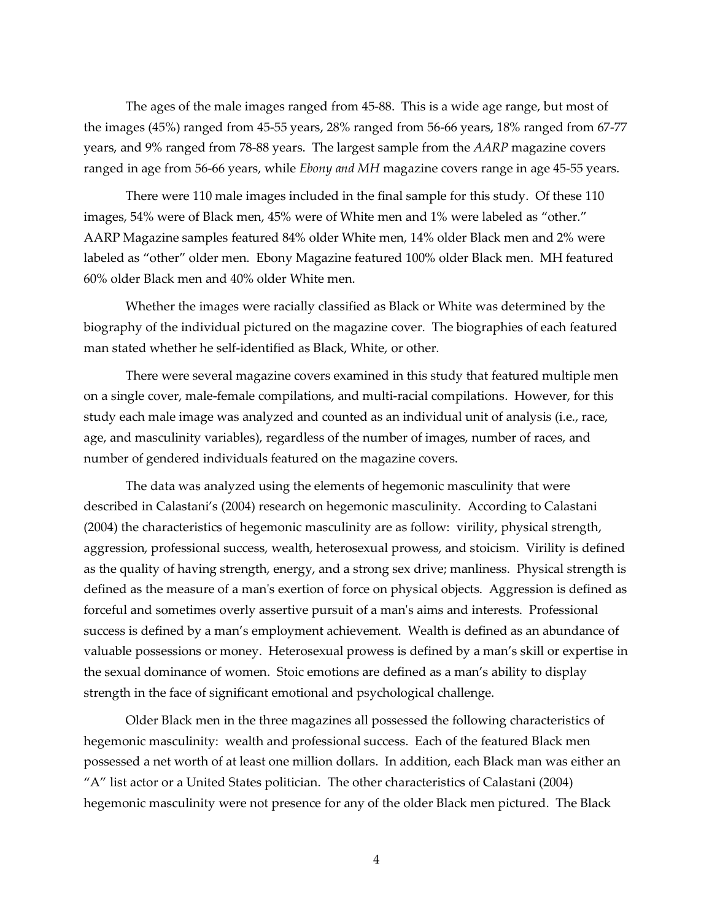The ages of the male images ranged from 45-88. This is a wide age range, but most of the images (45%) ranged from 45-55 years, 28% ranged from 56-66 years, 18% ranged from 67-77 years, and 9% ranged from 78-88 years. The largest sample from the *AARP* magazine covers ranged in age from 56-66 years, while *Ebony and MH* magazine covers range in age 45-55 years.

There were 110 male images included in the final sample for this study. Of these 110 images, 54% were of Black men, 45% were of White men and 1% were labeled as "other." AARP Magazine samples featured 84% older White men, 14% older Black men and 2% were labeled as "other" older men. Ebony Magazine featured 100% older Black men. MH featured 60% older Black men and 40% older White men.

Whether the images were racially classified as Black or White was determined by the biography of the individual pictured on the magazine cover. The biographies of each featured man stated whether he self-identified as Black, White, or other.

There were several magazine covers examined in this study that featured multiple men on a single cover, male-female compilations, and multi-racial compilations. However, for this study each male image was analyzed and counted as an individual unit of analysis (i.e., race, age, and masculinity variables), regardless of the number of images, number of races, and number of gendered individuals featured on the magazine covers.

The data was analyzed using the elements of hegemonic masculinity that were described in Calastani's (2004) research on hegemonic masculinity. According to Calastani (2004) the characteristics of hegemonic masculinity are as follow: virility, physical strength, aggression, professional success, wealth, heterosexual prowess, and stoicism. Virility is defined as the quality of having strength, energy, and a strong sex drive; manliness. Physical strength is defined as the measure of a man's exertion of force on physical objects. Aggression is defined as forceful and sometimes overly assertive pursuit of a man's aims and interests. Professional success is defined by a man's employment achievement. Wealth is defined as an abundance of valuable possessions or money. Heterosexual prowess is defined by a man's skill or expertise in the sexual dominance of women. Stoic emotions are defined as a man's ability to display strength in the face of significant emotional and psychological challenge.

Older Black men in the three magazines all possessed the following characteristics of hegemonic masculinity: wealth and professional success. Each of the featured Black men possessed a net worth of at least one million dollars. In addition, each Black man was either an "A" list actor or a United States politician. The other characteristics of Calastani (2004) hegemonic masculinity were not presence for any of the older Black men pictured. The Black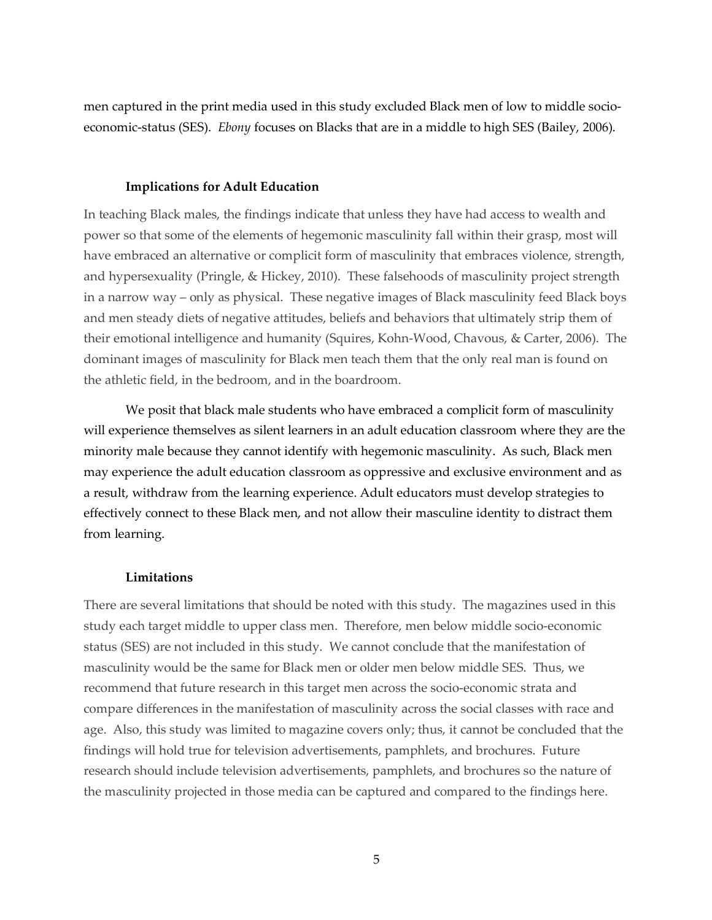men captured in the print media used in this study excluded Black men of low to middle socioeconomic-status (SES). *Ebony* focuses on Blacks that are in a middle to high SES (Bailey, 2006).

#### **Implications for Adult Education**

In teaching Black males, the findings indicate that unless they have had access to wealth and power so that some of the elements of hegemonic masculinity fall within their grasp, most will have embraced an alternative or complicit form of masculinity that embraces violence, strength, and hypersexuality (Pringle, & Hickey, 2010). These falsehoods of masculinity project strength in a narrow way – only as physical. These negative images of Black masculinity feed Black boys and men steady diets of negative attitudes, beliefs and behaviors that ultimately strip them of their emotional intelligence and humanity (Squires, Kohn-Wood, Chavous, & Carter, 2006). The dominant images of masculinity for Black men teach them that the only real man is found on the athletic field, in the bedroom, and in the boardroom.

We posit that black male students who have embraced a complicit form of masculinity will experience themselves as silent learners in an adult education classroom where they are the minority male because they cannot identify with hegemonic masculinity. As such, Black men may experience the adult education classroom as oppressive and exclusive environment and as a result, withdraw from the learning experience. Adult educators must develop strategies to effectively connect to these Black men, and not allow their masculine identity to distract them from learning.

#### **Limitations**

There are several limitations that should be noted with this study. The magazines used in this study each target middle to upper class men. Therefore, men below middle socio-economic status (SES) are not included in this study. We cannot conclude that the manifestation of masculinity would be the same for Black men or older men below middle SES. Thus, we recommend that future research in this target men across the socio-economic strata and compare differences in the manifestation of masculinity across the social classes with race and age. Also, this study was limited to magazine covers only; thus, it cannot be concluded that the findings will hold true for television advertisements, pamphlets, and brochures. Future research should include television advertisements, pamphlets, and brochures so the nature of the masculinity projected in those media can be captured and compared to the findings here.